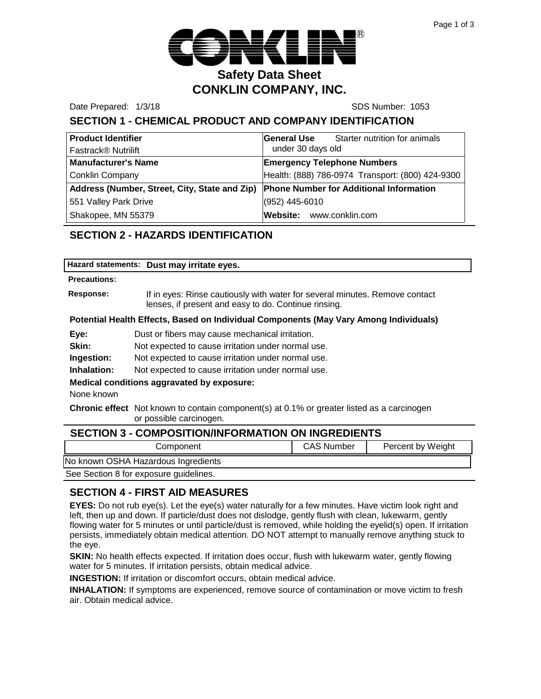

Date Prepared: 1/3/18 SDS Number: 1053

## **SECTION 1 - CHEMICAL PRODUCT AND COMPANY IDENTIFICATION**

| <b>Product Identifier</b>                     | Starter nutrition for animals<br><b>General Use</b> |  |
|-----------------------------------------------|-----------------------------------------------------|--|
| Fastrack <sup>®</sup> Nutrilift               | under 30 days old                                   |  |
| <b>Manufacturer's Name</b>                    | <b>Emergency Telephone Numbers</b>                  |  |
| <b>Conklin Company</b>                        | Health: (888) 786-0974 Transport: (800) 424-9300    |  |
| Address (Number, Street, City, State and Zip) | <b>Phone Number for Additional Information</b>      |  |
| 551 Valley Park Drive                         | (952) 445-6010                                      |  |
| Shakopee, MN 55379                            | Website: www.conklin.com                            |  |

## **SECTION 2 - HAZARDS IDENTIFICATION**

#### **Precautions:**

**Response:** If in eyes: Rinse cautiously with water for several minutes. Remove contact lenses, if present and easy to do. Continue rinsing.

#### **Potential Health Effects, Based on Individual Components (May Vary Among Individuals)**

**Eye:** Dust or fibers may cause mechanical irritation.

**Skin:** Not expected to cause irritation under normal use.

**Ingestion:** Not expected to cause irritation under normal use.

**Inhalation:** Not expected to cause irritation under normal use.

#### **Medical conditions aggravated by exposure:**

None known

**Chronic effect** Not known to contain component(s) at 0.1% or greater listed as a carcinogen or possible carcinogen.

| <b>SECTION 3 - COMPOSITION/INFORMATION ON INGREDIENTS</b> |                   |                   |  |
|-----------------------------------------------------------|-------------------|-------------------|--|
| Component                                                 | <b>CAS Number</b> | Percent by Weight |  |
| No known OSHA Hazardous Ingredients                       |                   |                   |  |
| See Section 8 for exposure guidelines.                    |                   |                   |  |

### **SECTION 4 - FIRST AID MEASURES**

**EYES:** Do not rub eye(s). Let the eye(s) water naturally for a few minutes. Have victim look right and left, then up and down. If particle/dust does not dislodge, gently flush with clean, lukewarm, gently flowing water for 5 minutes or until particle/dust is removed, while holding the eyelid(s) open. If irritation persists, immediately obtain medical attention. DO NOT attempt to manually remove anything stuck to the eye.

**SKIN:** No health effects expected. If irritation does occur, flush with lukewarm water, gently flowing water for 5 minutes. If irritation persists, obtain medical advice.

**INGESTION:** If irritation or discomfort occurs, obtain medical advice.

**INHALATION:** If symptoms are experienced, remove source of contamination or move victim to fresh air. Obtain medical advice.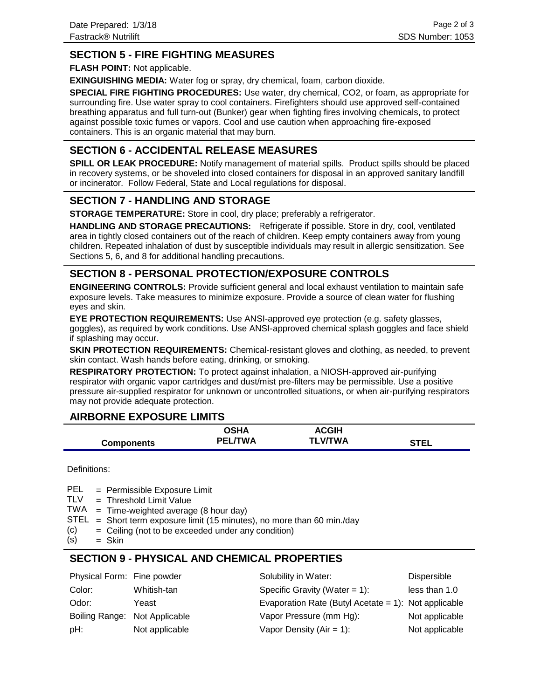### **SECTION 5 - FIRE FIGHTING MEASURES**

**FLASH POINT:** Not applicable.

**EXINGUISHING MEDIA:** Water fog or spray, dry chemical, foam, carbon dioxide.

**SPECIAL FIRE FIGHTING PROCEDURES:** Use water, dry chemical, CO2, or foam, as appropriate for surrounding fire. Use water spray to cool containers. Firefighters should use approved self-contained breathing apparatus and full turn-out (Bunker) gear when fighting fires involving chemicals, to protect against possible toxic fumes or vapors. Cool and use caution when approaching fire-exposed containers. This is an organic material that may burn.

### **SECTION 6 - ACCIDENTAL RELEASE MEASURES**

**SPILL OR LEAK PROCEDURE:** Notify management of material spills. Product spills should be placed in recovery systems, or be shoveled into closed containers for disposal in an approved sanitary landfill or incinerator. Follow Federal, State and Local regulations for disposal.

#### **SECTION 7 - HANDLING AND STORAGE**

**STORAGE TEMPERATURE:** Store in cool, dry place; preferably a refrigerator.

HANDLING AND STORAGE PRECAUTIONS: Refrigerate if possible. Store in dry, cool, ventilated area in tightly closed containers out of the reach of children. Keep empty containers away from young children. Repeated inhalation of dust by susceptible individuals may result in allergic sensitization. See Sections 5, 6, and 8 for additional handling precautions.

### **SECTION 8 - PERSONAL PROTECTION/EXPOSURE CONTROLS**

**ENGINEERING CONTROLS:** Provide sufficient general and local exhaust ventilation to maintain safe exposure levels. Take measures to minimize exposure. Provide a source of clean water for flushing eyes and skin.

**EYE PROTECTION REQUIREMENTS:** Use ANSI-approved eye protection (e.g. safety glasses, goggles), as required by work conditions. Use ANSI-approved chemical splash goggles and face shield if splashing may occur.

**SKIN PROTECTION REQUIREMENTS:** Chemical-resistant gloves and clothing, as needed, to prevent skin contact. Wash hands before eating, drinking, or smoking.

**RESPIRATORY PROTECTION:** To protect against inhalation, a NIOSH-approved air-purifying respirator with organic vapor cartridges and dust/mist pre-filters may be permissible. Use a positive pressure air-supplied respirator for unknown or uncontrolled situations, or when air-purifying respirators may not provide adequate protection.

#### **AIRBORNE EXPOSURE LIMITS**

|                   | OSHA           | <b>ACGIH</b>   |             |
|-------------------|----------------|----------------|-------------|
| <b>Components</b> | <b>PEL/TWA</b> | <b>TLV/TWA</b> | <b>STEL</b> |

Definitions:

= Permissible Exposure Limit PEL

- Threshold Limit Value = TLV
- $TWA = Time-weighted average (8 hour day)$
- $STEL = Short term exposure limit (15 minutes), no more than 60 min/day$
- Ceiling (not to be exceeded under any condition) = (c)
- Skin = (s)

### **SECTION 9 - PHYSICAL AND CHEMICAL PROPERTIES**

| Physical Form: Fine powder    |                | Solubility in Water:                                 | Dispersible    |
|-------------------------------|----------------|------------------------------------------------------|----------------|
| Color:                        | Whitish-tan    | Specific Gravity (Water = $1$ ):                     | less than 1.0  |
| Odor:                         | Yeast          | Evaporation Rate (Butyl Acetate = 1): Not applicable |                |
| Boiling Range: Not Applicable |                | Vapor Pressure (mm Hg):                              | Not applicable |
| pH:                           | Not applicable | Vapor Density ( $Air = 1$ ):                         | Not applicable |